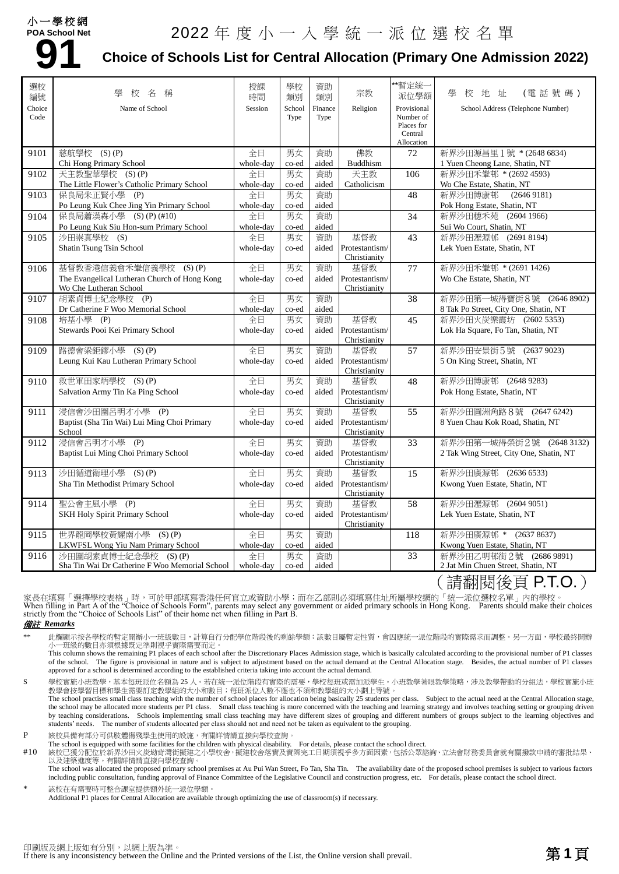# 小一學校網 **POA School Net 91**

# 2022 年度小一入學統一派位選校名單

### **Choice of Schools List for Central Allocation (Primary One Admission 2022)**

| 選校<br>編號 | 壆<br>稱<br>校<br>名                                                    | 授課<br>時間        | 學校<br>類別    | 資助<br>類別    | 宗教                             | **暫定統-<br>派位學額          | (電話號碼)<br>壆<br>校<br>地址                                                                   |
|----------|---------------------------------------------------------------------|-----------------|-------------|-------------|--------------------------------|-------------------------|------------------------------------------------------------------------------------------|
| Choice   | Name of School                                                      | Session         | School      | Finance     | Religion                       | Provisional             | School Address (Telephone Number)                                                        |
| Code     |                                                                     |                 | Type        | Type        |                                | Number of<br>Places for |                                                                                          |
|          |                                                                     |                 |             |             |                                | Central                 |                                                                                          |
|          |                                                                     |                 |             |             |                                | Allocation              |                                                                                          |
| 9101     | 慈航學校 (S)(P)                                                         | 全日              | 男女          | 資助          | 佛教                             | 72                      | 新界沙田源昌里1號 * (2648 6834)                                                                  |
|          | Chi Hong Primary School                                             | whole-day       | co-ed       | aided       | Buddhism                       |                         | 1 Yuen Cheong Lane, Shatin, NT                                                           |
| 9102     | 天主教聖華學校 (S)(P)                                                      | 全日              | 男女          | 資助          | 天主教                            | 106                     | 新界沙田禾輋邨 * (2692 4593)                                                                    |
|          | The Little Flower's Catholic Primary School<br>保良局朱正賢小學 (P)         | whole-day       | co-ed<br>男女 | aided<br>資助 | Catholicism                    |                         | Wo Che Estate, Shatin, NT<br>新界沙田博康邨<br>(26469181)                                       |
| 9103     |                                                                     | 全日              |             |             |                                | $\overline{48}$         |                                                                                          |
|          | Po Leung Kuk Chee Jing Yin Primary School<br>保良局蕭漢森小學 (S) (P) (#10) | whole-day<br>全日 | co-ed<br>男女 | aided<br>資助 |                                | 34                      | Pok Hong Estate, Shatin, NT<br>新界沙田穗禾苑 (2604 1966)                                       |
| 9104     | Po Leung Kuk Siu Hon-sum Primary School                             |                 |             |             |                                |                         |                                                                                          |
| 9105     | 沙田崇真學校 (S)                                                          | whole-day<br>全日 | co-ed<br>男女 | aided<br>資助 | 基督教                            | 43                      | Sui Wo Court, Shatin, NT<br>新界沙田瀝源邨 (2691 8194)                                          |
|          | Shatin Tsung Tsin School                                            | whole-day       | co-ed       | aided       | Protestantism/                 |                         | Lek Yuen Estate, Shatin, NT                                                              |
|          |                                                                     |                 |             |             | Christianity                   |                         |                                                                                          |
| 9106     | 基督教香港信義會禾輋信義學校<br>$(S)$ $(P)$                                       | 全日              | 男女          | 資助          | 基督教                            | 77                      | 新界沙田禾輋邨 * (2691 1426)                                                                    |
|          | The Evangelical Lutheran Church of Hong Kong                        | whole-day       | co-ed       | aided       | Protestantism/                 |                         | Wo Che Estate, Shatin, NT                                                                |
|          | Wo Che Lutheran School                                              |                 |             |             | Christianity                   |                         |                                                                                          |
| 9107     | 胡素貞博士紀念學校 (P)                                                       | 全日              | 男女          | 資助          |                                | 38                      | 新界沙田第一城得寶街8號 (2646 8902)                                                                 |
|          | Dr Catherine F Woo Memorial School                                  | whole-day       | co-ed       | aided       |                                |                         | 8 Tak Po Street, City One, Shatin, NT                                                    |
| 9108     | 培基小學 (P)                                                            | 全日              | 男女          | 資助          | 基督教                            | 45                      | 新界沙田火炭樂霞坊 (2602 5353)                                                                    |
|          | Stewards Pooi Kei Primary School                                    | whole-day       | co-ed       | aided       | Protestantism/                 |                         | Lok Ha Square, Fo Tan, Shatin, NT                                                        |
|          |                                                                     |                 |             |             | Christianity                   |                         |                                                                                          |
| 9109     | 路德會梁鉅鏐小學 (S)(P)                                                     | 全日              | 男女          | 資助          | 基督教                            | 57                      | 新界沙田安景街5號 (2637 9023)                                                                    |
|          | Leung Kui Kau Lutheran Primary School                               | whole-day       | co-ed       | aided       | Protestantism/                 |                         | 5 On King Street, Shatin, NT                                                             |
|          |                                                                     |                 |             |             | Christianity                   |                         |                                                                                          |
| 9110     | 救世軍田家炳學校 (S)(P)                                                     | 全日              | 男女          | 資助          | 基督教                            | 48                      | 新界沙田博康邨 (2648 9283)                                                                      |
|          | Salvation Army Tin Ka Ping School                                   | whole-day       | co-ed       | aided       | Protestantism/<br>Christianity |                         | Pok Hong Estate, Shatin, NT                                                              |
| 9111     | 浸信會沙田圍呂明才小學 (P)                                                     | 全日              | 男女          | 資助          | 基督教                            | 55                      | 新界沙田圓洲角路8號 (2647 6242)                                                                   |
|          | Baptist (Sha Tin Wai) Lui Ming Choi Primary                         | whole-day       | co-ed       | aided       | Protestantism/                 |                         | 8 Yuen Chau Kok Road, Shatin, NT                                                         |
|          | School                                                              |                 |             |             | Christianity                   |                         |                                                                                          |
| 9112     | 浸信會呂明才小學<br>(P)                                                     | 全日              | 男女          | 資助          | 基督教                            | 33                      | 新界沙田第一城得榮街2號<br>(26483132)                                                               |
|          | Baptist Lui Ming Choi Primary School                                | whole-day       | co-ed       | aided       | Protestantism/                 |                         | 2 Tak Wing Street, City One, Shatin, NT                                                  |
|          |                                                                     |                 |             |             | Christianity                   |                         |                                                                                          |
| 9113     | 沙田循道衛理小學 (S)(P)                                                     | 全日              | 男女          | 資助          | 基督教                            | 15                      | 新界沙田廣源邨 (2636 6533)                                                                      |
|          | Sha Tin Methodist Primary School                                    | whole-day       | co-ed       | aided       | Protestantism/                 |                         | Kwong Yuen Estate, Shatin, NT                                                            |
|          |                                                                     |                 |             |             | Christianity                   |                         |                                                                                          |
| 9114     | 聖公會主風小學 (P)                                                         | 全日              | 男女          | 資助          | 基督教                            | 58                      | 新界沙田瀝源邨 (2604 9051)                                                                      |
|          | SKH Holy Spirit Primary School                                      | whole-day       | co-ed       | aided       | Protestantism/                 |                         | Lek Yuen Estate, Shatin, NT                                                              |
|          |                                                                     |                 |             |             | Christianity                   |                         |                                                                                          |
| 9115     | 世界龍岡學校黃耀南小學 (S)(P)                                                  | 全日              | 男女          | 資助          |                                | 118                     | 新界沙田廣源邨 *<br>(26378637)                                                                  |
|          | LKWFSL Wong Yiu Nam Primary School                                  | whole-day       | co-ed       | aided       |                                |                         | Kwong Yuen Estate, Shatin, NT                                                            |
| 9116     | 沙田圍胡素貞博士紀念學校<br>$(S)$ $(P)$                                         | 全日              | 男女          | 資助          |                                | 33                      | 新界沙田乙明邨街2號 (2686 9891)                                                                   |
|          | Sha Tin Wai Dr Catherine F Woo Memorial School                      | whole-day       | co-ed       | aided       |                                |                         | 2 Jat Min Chuen Street, Shatin, NT<br>$\lambda$ . The property of the property $\lambda$ |

( 請翻閱後貝 **P.I.O.** )

家長在填寫「選擇學校表格」時,可於甲部填寫香港任何官立或資助小學;而在乙部則必須填寫住址所屬學校網的「統一派位選校名單」內的學校。<br>When filling in Part A of the "Choice of Schools Form", parents may select any government or aided primary schools in Hong Kong. Parents should make the strictly from the "Choice of Schools List" of their home net when filling in Part B.

#### 備註 *Remarks*

此欄顯示按各學校的暫定開辦小一班級數目,計算自行分配學位階段後的剩餘學額;該數目屬暫定性質,會因應統一派位階段的實際需求而調整。另一方面,學校最終開辦 小一班級的數目亦須根據既定準則視乎實際需要而定。

This column shows the remaining P1 places of each school after the Discretionary Places Admission stage, which is basically calculated according to the provisional number of P1 classes of the school. The figure is provisional in nature and is subject to adjustment based on the actual demand at the Central Allocation stage. Besides, the actual number of P1 classes approved for a school is determined according to the established criteria taking into account the actual demand.

S 學校實施小班教學,基本每班派位名額為 25 人。若在統一派位階段有實際的需要,學校每班或需加派學生。小班教學著眼教學策略,涉及教學帶動的分組法,學校實施小班 教學會按學習目標和學生需要訂定教學組的大小和數目;每班派位人數不應也不須和教學組的大小劃上等號。 The school practises small class teaching with the number of school places for allocation being basically 25 students per class. Subject to the actual need at the Central Allocation stage,

the school may be allocated more students per P1 class. Small class teaching is more concerned with the teaching and learning strategy and involves teaching setting or grouping driven by teaching considerations. Schools implementing small class teaching may have different sizes of grouping and different numbers of groups subject to the learning objectives and students' needs. The number of students allocated per class should not and need not be taken as equivalent to the grouping.

P 該校具備有部分可供肢體傷殘學生使用的設施,有關詳情請直接向學校查詢。

The school is equipped with some facilities for the children with physical disability. For details, please contact the school direct.

#10 該校已獲分配位於新界沙田火炭坳背灣街擬建之小學校舍,擬建校舍落實及實際完工日期須視乎多方面因素,包括公眾諮詢、立法會財務委員會就有關撥款申請的審批結果、<br>以及建築進度等。有關詳情請直接向學校查詢。 The school was allocated the proposed primary school premises at Au Pui Wan Street, Fo Tan, Sha Tin. The availability date of the proposed school premises is subject to various factors

including public consultation, funding approval of Finance Committee of the Legislative Council and construction progress, etc. For details, please contact the school direct. 該校在有需要時可整合課室提供額外統一派位學額。

Additional P1 places for Central Allocation are available through optimizing the use of classroom(s) if necessary.